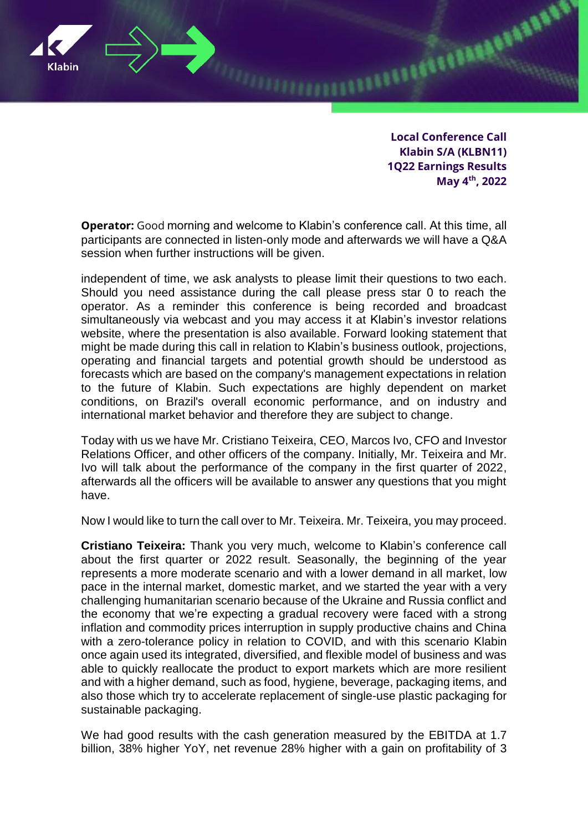

**Local Conference Call Klabin S/A (KLBN11) 1Q22 Earnings Results May 4th, 2022**

**EXAMPLE TO AN ALL PARADON** 

**Operator:** Good morning and welcome to Klabin's conference call. At this time, all participants are connected in listen-only mode and afterwards we will have a Q&A session when further instructions will be given.

independent of time, we ask analysts to please limit their questions to two each. Should you need assistance during the call please press star 0 to reach the operator. As a reminder this conference is being recorded and broadcast simultaneously via webcast and you may access it at Klabin's investor relations website, where the presentation is also available. Forward looking statement that might be made during this call in relation to Klabin's business outlook, projections, operating and financial targets and potential growth should be understood as forecasts which are based on the company's management expectations in relation to the future of Klabin. Such expectations are highly dependent on market conditions, on Brazil's overall economic performance, and on industry and international market behavior and therefore they are subject to change.

Today with us we have Mr. Cristiano Teixeira, CEO, Marcos Ivo, CFO and Investor Relations Officer, and other officers of the company. Initially, Mr. Teixeira and Mr. Ivo will talk about the performance of the company in the first quarter of 2022, afterwards all the officers will be available to answer any questions that you might have.

Now I would like to turn the call over to Mr. Teixeira. Mr. Teixeira, you may proceed.

**Cristiano Teixeira:** Thank you very much, welcome to Klabin's conference call about the first quarter or 2022 result. Seasonally, the beginning of the year represents a more moderate scenario and with a lower demand in all market, low pace in the internal market, domestic market, and we started the year with a very challenging humanitarian scenario because of the Ukraine and Russia conflict and the economy that we're expecting a gradual recovery were faced with a strong inflation and commodity prices interruption in supply productive chains and China with a zero-tolerance policy in relation to COVID, and with this scenario Klabin once again used its integrated, diversified, and flexible model of business and was able to quickly reallocate the product to export markets which are more resilient and with a higher demand, such as food, hygiene, beverage, packaging items, and also those which try to accelerate replacement of single-use plastic packaging for sustainable packaging.

We had good results with the cash generation measured by the EBITDA at 1.7 billion, 38% higher YoY, net revenue 28% higher with a gain on profitability of 3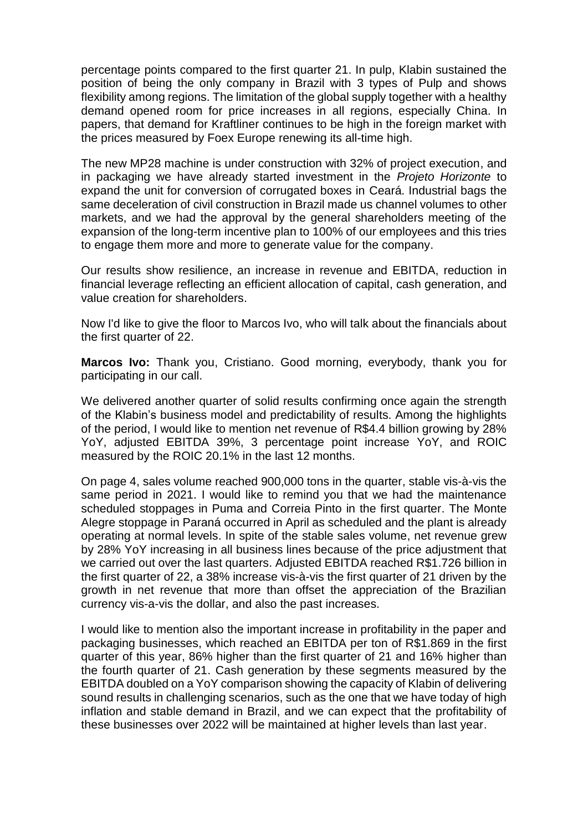percentage points compared to the first quarter 21. In pulp, Klabin sustained the position of being the only company in Brazil with 3 types of Pulp and shows flexibility among regions. The limitation of the global supply together with a healthy demand opened room for price increases in all regions, especially China. In papers, that demand for Kraftliner continues to be high in the foreign market with the prices measured by Foex Europe renewing its all-time high.

The new MP28 machine is under construction with 32% of project execution, and in packaging we have already started investment in the *Projeto Horizonte* to expand the unit for conversion of corrugated boxes in Ceará. Industrial bags the same deceleration of civil construction in Brazil made us channel volumes to other markets, and we had the approval by the general shareholders meeting of the expansion of the long-term incentive plan to 100% of our employees and this tries to engage them more and more to generate value for the company.

Our results show resilience, an increase in revenue and EBITDA, reduction in financial leverage reflecting an efficient allocation of capital, cash generation, and value creation for shareholders.

Now I'd like to give the floor to Marcos Ivo, who will talk about the financials about the first quarter of 22.

**Marcos Ivo:** Thank you, Cristiano. Good morning, everybody, thank you for participating in our call.

We delivered another quarter of solid results confirming once again the strength of the Klabin's business model and predictability of results. Among the highlights of the period, I would like to mention net revenue of R\$4.4 billion growing by 28% YoY, adjusted EBITDA 39%, 3 percentage point increase YoY, and ROIC measured by the ROIC 20.1% in the last 12 months.

On page 4, sales volume reached 900,000 tons in the quarter, stable vis-à-vis the same period in 2021. I would like to remind you that we had the maintenance scheduled stoppages in Puma and Correia Pinto in the first quarter. The Monte Alegre stoppage in Paraná occurred in April as scheduled and the plant is already operating at normal levels. In spite of the stable sales volume, net revenue grew by 28% YoY increasing in all business lines because of the price adjustment that we carried out over the last quarters. Adjusted EBITDA reached R\$1.726 billion in the first quarter of 22, a 38% increase vis-à-vis the first quarter of 21 driven by the growth in net revenue that more than offset the appreciation of the Brazilian currency vis-a-vis the dollar, and also the past increases.

I would like to mention also the important increase in profitability in the paper and packaging businesses, which reached an EBITDA per ton of R\$1.869 in the first quarter of this year, 86% higher than the first quarter of 21 and 16% higher than the fourth quarter of 21. Cash generation by these segments measured by the EBITDA doubled on a YoY comparison showing the capacity of Klabin of delivering sound results in challenging scenarios, such as the one that we have today of high inflation and stable demand in Brazil, and we can expect that the profitability of these businesses over 2022 will be maintained at higher levels than last year.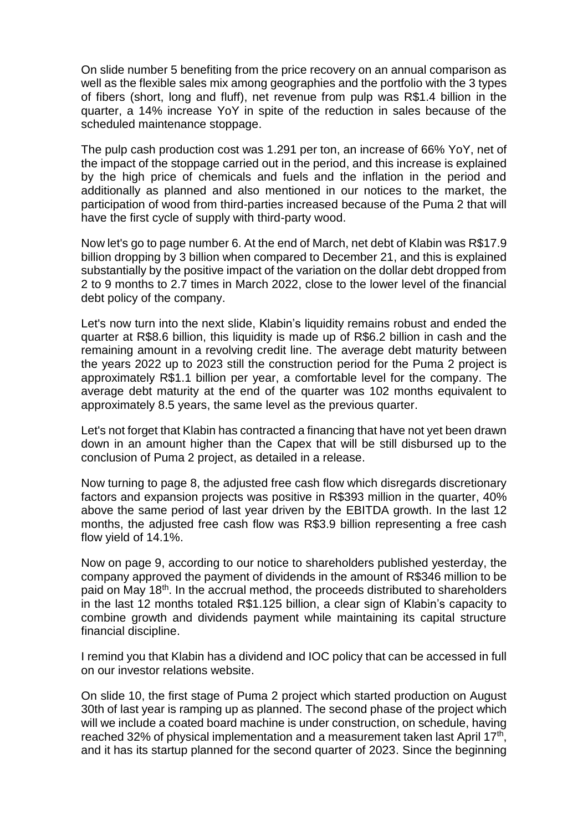On slide number 5 benefiting from the price recovery on an annual comparison as well as the flexible sales mix among geographies and the portfolio with the 3 types of fibers (short, long and fluff), net revenue from pulp was R\$1.4 billion in the quarter, a 14% increase YoY in spite of the reduction in sales because of the scheduled maintenance stoppage.

The pulp cash production cost was 1.291 per ton, an increase of 66% YoY, net of the impact of the stoppage carried out in the period, and this increase is explained by the high price of chemicals and fuels and the inflation in the period and additionally as planned and also mentioned in our notices to the market, the participation of wood from third-parties increased because of the Puma 2 that will have the first cycle of supply with third-party wood.

Now let's go to page number 6. At the end of March, net debt of Klabin was R\$17.9 billion dropping by 3 billion when compared to December 21, and this is explained substantially by the positive impact of the variation on the dollar debt dropped from 2 to 9 months to 2.7 times in March 2022, close to the lower level of the financial debt policy of the company.

Let's now turn into the next slide. Klabin's liquidity remains robust and ended the quarter at R\$8.6 billion, this liquidity is made up of R\$6.2 billion in cash and the remaining amount in a revolving credit line. The average debt maturity between the years 2022 up to 2023 still the construction period for the Puma 2 project is approximately R\$1.1 billion per year, a comfortable level for the company. The average debt maturity at the end of the quarter was 102 months equivalent to approximately 8.5 years, the same level as the previous quarter.

Let's not forget that Klabin has contracted a financing that have not yet been drawn down in an amount higher than the Capex that will be still disbursed up to the conclusion of Puma 2 project, as detailed in a release.

Now turning to page 8, the adjusted free cash flow which disregards discretionary factors and expansion projects was positive in R\$393 million in the quarter, 40% above the same period of last year driven by the EBITDA growth. In the last 12 months, the adjusted free cash flow was R\$3.9 billion representing a free cash flow yield of 14.1%.

Now on page 9, according to our notice to shareholders published yesterday, the company approved the payment of dividends in the amount of R\$346 million to be paid on May 18<sup>th</sup>. In the accrual method, the proceeds distributed to shareholders in the last 12 months totaled R\$1.125 billion, a clear sign of Klabin's capacity to combine growth and dividends payment while maintaining its capital structure financial discipline.

I remind you that Klabin has a dividend and IOC policy that can be accessed in full on our investor relations website.

On slide 10, the first stage of Puma 2 project which started production on August 30th of last year is ramping up as planned. The second phase of the project which will we include a coated board machine is under construction, on schedule, having reached 32% of physical implementation and a measurement taken last April 17<sup>th</sup>, and it has its startup planned for the second quarter of 2023. Since the beginning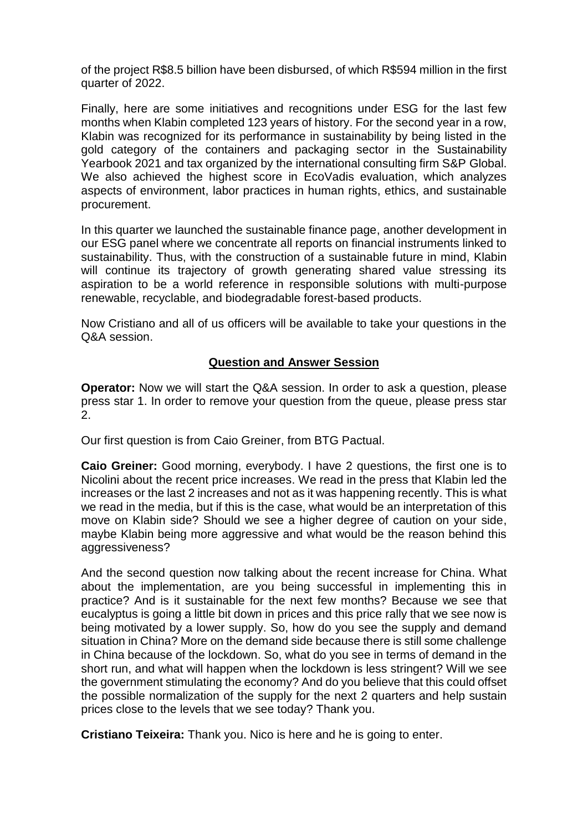of the project R\$8.5 billion have been disbursed, of which R\$594 million in the first quarter of 2022.

Finally, here are some initiatives and recognitions under ESG for the last few months when Klabin completed 123 years of history. For the second year in a row, Klabin was recognized for its performance in sustainability by being listed in the gold category of the containers and packaging sector in the Sustainability Yearbook 2021 and tax organized by the international consulting firm S&P Global. We also achieved the highest score in EcoVadis evaluation, which analyzes aspects of environment, labor practices in human rights, ethics, and sustainable procurement.

In this quarter we launched the sustainable finance page, another development in our ESG panel where we concentrate all reports on financial instruments linked to sustainability. Thus, with the construction of a sustainable future in mind, Klabin will continue its trajectory of growth generating shared value stressing its aspiration to be a world reference in responsible solutions with multi-purpose renewable, recyclable, and biodegradable forest-based products.

Now Cristiano and all of us officers will be available to take your questions in the Q&A session.

## **Question and Answer Session**

**Operator:** Now we will start the Q&A session. In order to ask a question, please press star 1. In order to remove your question from the queue, please press star 2.

Our first question is from Caio Greiner, from BTG Pactual.

**Caio Greiner:** Good morning, everybody. I have 2 questions, the first one is to Nicolini about the recent price increases. We read in the press that Klabin led the increases or the last 2 increases and not as it was happening recently. This is what we read in the media, but if this is the case, what would be an interpretation of this move on Klabin side? Should we see a higher degree of caution on your side, maybe Klabin being more aggressive and what would be the reason behind this aggressiveness?

And the second question now talking about the recent increase for China. What about the implementation, are you being successful in implementing this in practice? And is it sustainable for the next few months? Because we see that eucalyptus is going a little bit down in prices and this price rally that we see now is being motivated by a lower supply. So, how do you see the supply and demand situation in China? More on the demand side because there is still some challenge in China because of the lockdown. So, what do you see in terms of demand in the short run, and what will happen when the lockdown is less stringent? Will we see the government stimulating the economy? And do you believe that this could offset the possible normalization of the supply for the next 2 quarters and help sustain prices close to the levels that we see today? Thank you.

**Cristiano Teixeira:** Thank you. Nico is here and he is going to enter.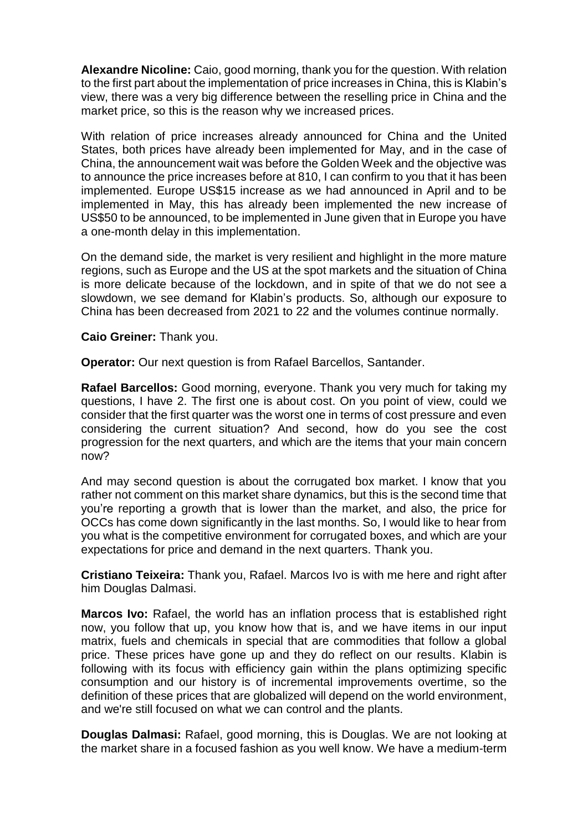**Alexandre Nicoline:** Caio, good morning, thank you for the question. With relation to the first part about the implementation of price increases in China, this is Klabin's view, there was a very big difference between the reselling price in China and the market price, so this is the reason why we increased prices.

With relation of price increases already announced for China and the United States, both prices have already been implemented for May, and in the case of China, the announcement wait was before the Golden Week and the objective was to announce the price increases before at 810, I can confirm to you that it has been implemented. Europe US\$15 increase as we had announced in April and to be implemented in May, this has already been implemented the new increase of US\$50 to be announced, to be implemented in June given that in Europe you have a one-month delay in this implementation.

On the demand side, the market is very resilient and highlight in the more mature regions, such as Europe and the US at the spot markets and the situation of China is more delicate because of the lockdown, and in spite of that we do not see a slowdown, we see demand for Klabin's products. So, although our exposure to China has been decreased from 2021 to 22 and the volumes continue normally.

**Caio Greiner:** Thank you.

**Operator:** Our next question is from Rafael Barcellos, Santander.

**Rafael Barcellos:** Good morning, everyone. Thank you very much for taking my questions, I have 2. The first one is about cost. On you point of view, could we consider that the first quarter was the worst one in terms of cost pressure and even considering the current situation? And second, how do you see the cost progression for the next quarters, and which are the items that your main concern now?

And may second question is about the corrugated box market. I know that you rather not comment on this market share dynamics, but this is the second time that you're reporting a growth that is lower than the market, and also, the price for OCCs has come down significantly in the last months. So, I would like to hear from you what is the competitive environment for corrugated boxes, and which are your expectations for price and demand in the next quarters. Thank you.

**Cristiano Teixeira:** Thank you, Rafael. Marcos Ivo is with me here and right after him Douglas Dalmasi.

**Marcos Ivo:** Rafael, the world has an inflation process that is established right now, you follow that up, you know how that is, and we have items in our input matrix, fuels and chemicals in special that are commodities that follow a global price. These prices have gone up and they do reflect on our results. Klabin is following with its focus with efficiency gain within the plans optimizing specific consumption and our history is of incremental improvements overtime, so the definition of these prices that are globalized will depend on the world environment, and we're still focused on what we can control and the plants.

**Douglas Dalmasi:** Rafael, good morning, this is Douglas. We are not looking at the market share in a focused fashion as you well know. We have a medium-term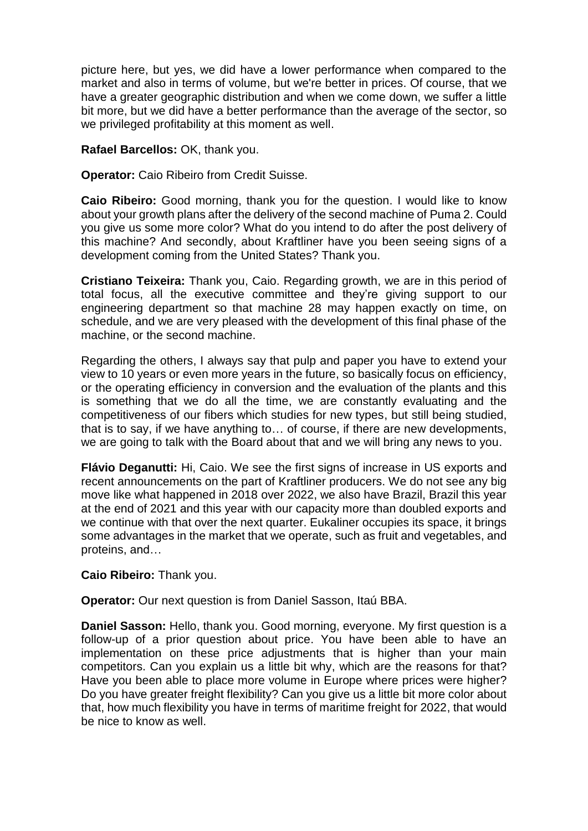picture here, but yes, we did have a lower performance when compared to the market and also in terms of volume, but we're better in prices. Of course, that we have a greater geographic distribution and when we come down, we suffer a little bit more, but we did have a better performance than the average of the sector, so we privileged profitability at this moment as well.

## **Rafael Barcellos:** OK, thank you.

**Operator:** Caio Ribeiro from Credit Suisse.

**Caio Ribeiro:** Good morning, thank you for the question. I would like to know about your growth plans after the delivery of the second machine of Puma 2. Could you give us some more color? What do you intend to do after the post delivery of this machine? And secondly, about Kraftliner have you been seeing signs of a development coming from the United States? Thank you.

**Cristiano Teixeira:** Thank you, Caio. Regarding growth, we are in this period of total focus, all the executive committee and they're giving support to our engineering department so that machine 28 may happen exactly on time, on schedule, and we are very pleased with the development of this final phase of the machine, or the second machine.

Regarding the others, I always say that pulp and paper you have to extend your view to 10 years or even more years in the future, so basically focus on efficiency, or the operating efficiency in conversion and the evaluation of the plants and this is something that we do all the time, we are constantly evaluating and the competitiveness of our fibers which studies for new types, but still being studied, that is to say, if we have anything to… of course, if there are new developments, we are going to talk with the Board about that and we will bring any news to you.

**Flávio Deganutti:** Hi, Caio. We see the first signs of increase in US exports and recent announcements on the part of Kraftliner producers. We do not see any big move like what happened in 2018 over 2022, we also have Brazil, Brazil this year at the end of 2021 and this year with our capacity more than doubled exports and we continue with that over the next quarter. Eukaliner occupies its space, it brings some advantages in the market that we operate, such as fruit and vegetables, and proteins, and…

**Caio Ribeiro:** Thank you.

**Operator:** Our next question is from Daniel Sasson, Itaú BBA.

**Daniel Sasson:** Hello, thank you. Good morning, everyone. My first question is a follow-up of a prior question about price. You have been able to have an implementation on these price adjustments that is higher than your main competitors. Can you explain us a little bit why, which are the reasons for that? Have you been able to place more volume in Europe where prices were higher? Do you have greater freight flexibility? Can you give us a little bit more color about that, how much flexibility you have in terms of maritime freight for 2022, that would be nice to know as well.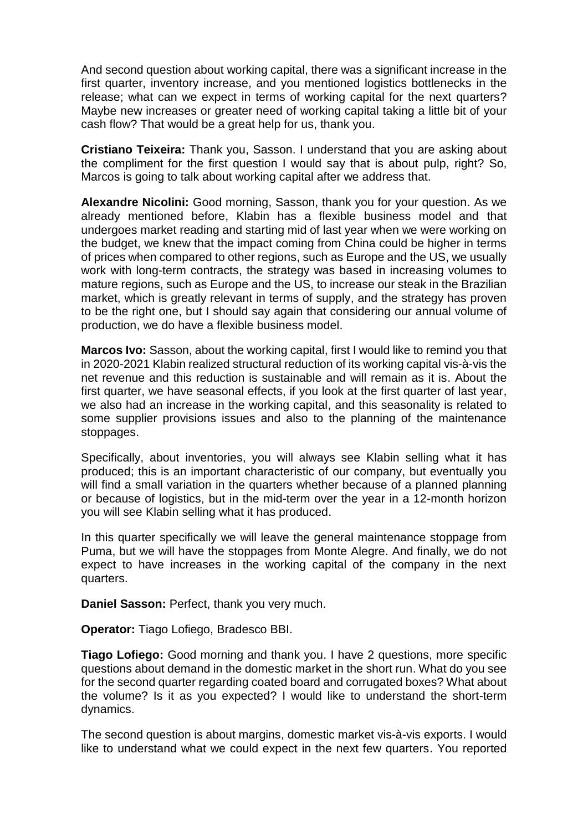And second question about working capital, there was a significant increase in the first quarter, inventory increase, and you mentioned logistics bottlenecks in the release; what can we expect in terms of working capital for the next quarters? Maybe new increases or greater need of working capital taking a little bit of your cash flow? That would be a great help for us, thank you.

**Cristiano Teixeira:** Thank you, Sasson. I understand that you are asking about the compliment for the first question I would say that is about pulp, right? So, Marcos is going to talk about working capital after we address that.

**Alexandre Nicolini:** Good morning, Sasson, thank you for your question. As we already mentioned before, Klabin has a flexible business model and that undergoes market reading and starting mid of last year when we were working on the budget, we knew that the impact coming from China could be higher in terms of prices when compared to other regions, such as Europe and the US, we usually work with long-term contracts, the strategy was based in increasing volumes to mature regions, such as Europe and the US, to increase our steak in the Brazilian market, which is greatly relevant in terms of supply, and the strategy has proven to be the right one, but I should say again that considering our annual volume of production, we do have a flexible business model.

**Marcos Ivo:** Sasson, about the working capital, first I would like to remind you that in 2020-2021 Klabin realized structural reduction of its working capital vis-à-vis the net revenue and this reduction is sustainable and will remain as it is. About the first quarter, we have seasonal effects, if you look at the first quarter of last year, we also had an increase in the working capital, and this seasonality is related to some supplier provisions issues and also to the planning of the maintenance stoppages.

Specifically, about inventories, you will always see Klabin selling what it has produced; this is an important characteristic of our company, but eventually you will find a small variation in the quarters whether because of a planned planning or because of logistics, but in the mid-term over the year in a 12-month horizon you will see Klabin selling what it has produced.

In this quarter specifically we will leave the general maintenance stoppage from Puma, but we will have the stoppages from Monte Alegre. And finally, we do not expect to have increases in the working capital of the company in the next quarters.

**Daniel Sasson:** Perfect, thank you very much.

**Operator:** Tiago Lofiego, Bradesco BBI.

**Tiago Lofiego:** Good morning and thank you. I have 2 questions, more specific questions about demand in the domestic market in the short run. What do you see for the second quarter regarding coated board and corrugated boxes? What about the volume? Is it as you expected? I would like to understand the short-term dynamics.

The second question is about margins, domestic market vis-à-vis exports. I would like to understand what we could expect in the next few quarters. You reported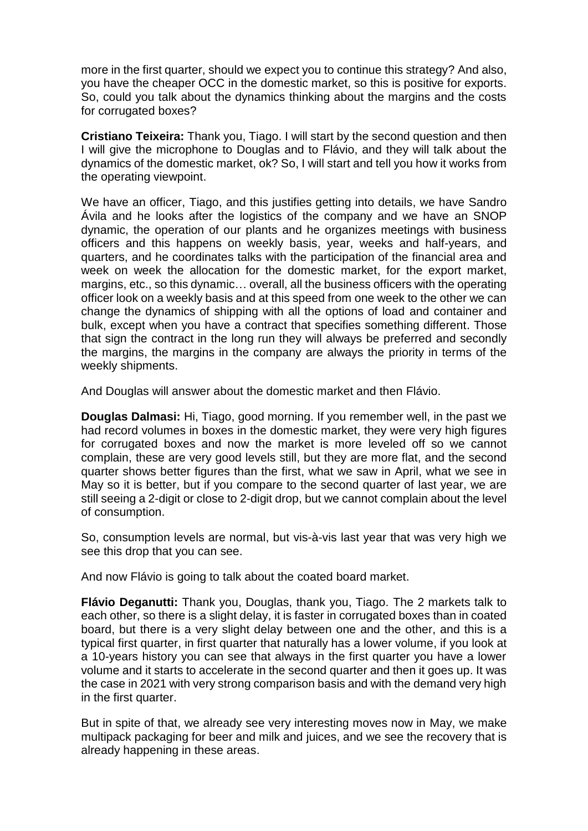more in the first quarter, should we expect you to continue this strategy? And also, you have the cheaper OCC in the domestic market, so this is positive for exports. So, could you talk about the dynamics thinking about the margins and the costs for corrugated boxes?

**Cristiano Teixeira:** Thank you, Tiago. I will start by the second question and then I will give the microphone to Douglas and to Flávio, and they will talk about the dynamics of the domestic market, ok? So, I will start and tell you how it works from the operating viewpoint.

We have an officer, Tiago, and this justifies getting into details, we have Sandro Ávila and he looks after the logistics of the company and we have an SNOP dynamic, the operation of our plants and he organizes meetings with business officers and this happens on weekly basis, year, weeks and half-years, and quarters, and he coordinates talks with the participation of the financial area and week on week the allocation for the domestic market, for the export market, margins, etc., so this dynamic… overall, all the business officers with the operating officer look on a weekly basis and at this speed from one week to the other we can change the dynamics of shipping with all the options of load and container and bulk, except when you have a contract that specifies something different. Those that sign the contract in the long run they will always be preferred and secondly the margins, the margins in the company are always the priority in terms of the weekly shipments.

And Douglas will answer about the domestic market and then Flávio.

**Douglas Dalmasi:** Hi, Tiago, good morning. If you remember well, in the past we had record volumes in boxes in the domestic market, they were very high figures for corrugated boxes and now the market is more leveled off so we cannot complain, these are very good levels still, but they are more flat, and the second quarter shows better figures than the first, what we saw in April, what we see in May so it is better, but if you compare to the second quarter of last year, we are still seeing a 2-digit or close to 2-digit drop, but we cannot complain about the level of consumption.

So, consumption levels are normal, but vis-à-vis last year that was very high we see this drop that you can see.

And now Flávio is going to talk about the coated board market.

**Flávio Deganutti:** Thank you, Douglas, thank you, Tiago. The 2 markets talk to each other, so there is a slight delay, it is faster in corrugated boxes than in coated board, but there is a very slight delay between one and the other, and this is a typical first quarter, in first quarter that naturally has a lower volume, if you look at a 10-years history you can see that always in the first quarter you have a lower volume and it starts to accelerate in the second quarter and then it goes up. It was the case in 2021 with very strong comparison basis and with the demand very high in the first quarter.

But in spite of that, we already see very interesting moves now in May, we make multipack packaging for beer and milk and juices, and we see the recovery that is already happening in these areas.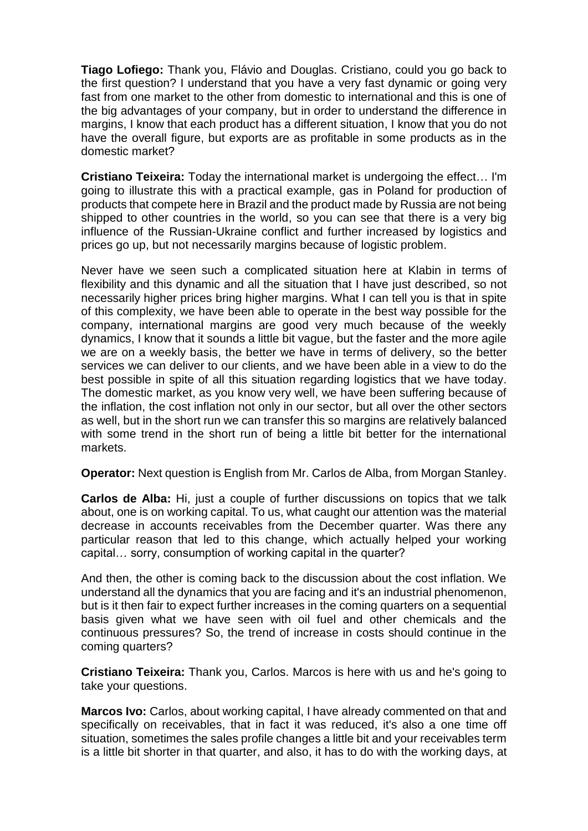**Tiago Lofiego:** Thank you, Flávio and Douglas. Cristiano, could you go back to the first question? I understand that you have a very fast dynamic or going very fast from one market to the other from domestic to international and this is one of the big advantages of your company, but in order to understand the difference in margins, I know that each product has a different situation, I know that you do not have the overall figure, but exports are as profitable in some products as in the domestic market?

**Cristiano Teixeira:** Today the international market is undergoing the effect… I'm going to illustrate this with a practical example, gas in Poland for production of products that compete here in Brazil and the product made by Russia are not being shipped to other countries in the world, so you can see that there is a very big influence of the Russian-Ukraine conflict and further increased by logistics and prices go up, but not necessarily margins because of logistic problem.

Never have we seen such a complicated situation here at Klabin in terms of flexibility and this dynamic and all the situation that I have just described, so not necessarily higher prices bring higher margins. What I can tell you is that in spite of this complexity, we have been able to operate in the best way possible for the company, international margins are good very much because of the weekly dynamics, I know that it sounds a little bit vague, but the faster and the more agile we are on a weekly basis, the better we have in terms of delivery, so the better services we can deliver to our clients, and we have been able in a view to do the best possible in spite of all this situation regarding logistics that we have today. The domestic market, as you know very well, we have been suffering because of the inflation, the cost inflation not only in our sector, but all over the other sectors as well, but in the short run we can transfer this so margins are relatively balanced with some trend in the short run of being a little bit better for the international markets.

**Operator:** Next question is English from Mr. Carlos de Alba, from Morgan Stanley.

**Carlos de Alba:** Hi, just a couple of further discussions on topics that we talk about, one is on working capital. To us, what caught our attention was the material decrease in accounts receivables from the December quarter. Was there any particular reason that led to this change, which actually helped your working capital… sorry, consumption of working capital in the quarter?

And then, the other is coming back to the discussion about the cost inflation. We understand all the dynamics that you are facing and it's an industrial phenomenon, but is it then fair to expect further increases in the coming quarters on a sequential basis given what we have seen with oil fuel and other chemicals and the continuous pressures? So, the trend of increase in costs should continue in the coming quarters?

**Cristiano Teixeira:** Thank you, Carlos. Marcos is here with us and he's going to take your questions.

**Marcos Ivo:** Carlos, about working capital, I have already commented on that and specifically on receivables, that in fact it was reduced, it's also a one time off situation, sometimes the sales profile changes a little bit and your receivables term is a little bit shorter in that quarter, and also, it has to do with the working days, at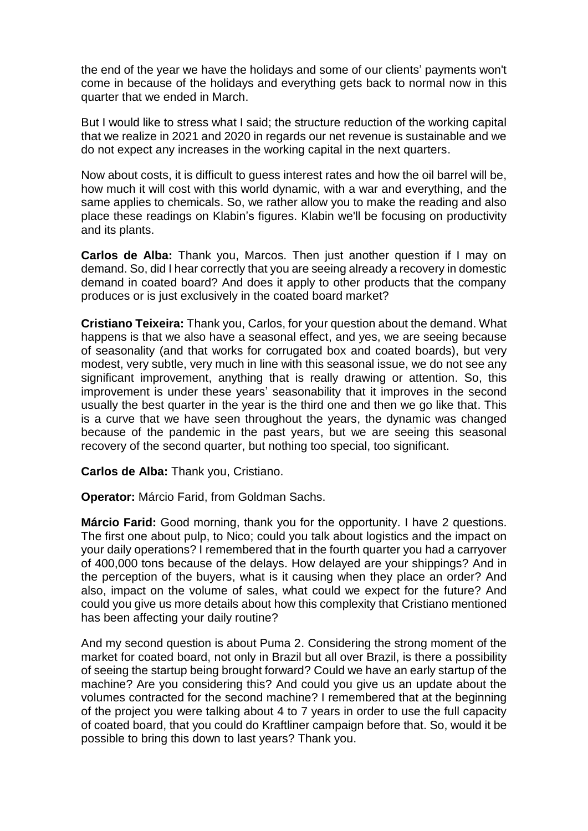the end of the year we have the holidays and some of our clients' payments won't come in because of the holidays and everything gets back to normal now in this quarter that we ended in March.

But I would like to stress what I said; the structure reduction of the working capital that we realize in 2021 and 2020 in regards our net revenue is sustainable and we do not expect any increases in the working capital in the next quarters.

Now about costs, it is difficult to guess interest rates and how the oil barrel will be, how much it will cost with this world dynamic, with a war and everything, and the same applies to chemicals. So, we rather allow you to make the reading and also place these readings on Klabin's figures. Klabin we'll be focusing on productivity and its plants.

**Carlos de Alba:** Thank you, Marcos. Then just another question if I may on demand. So, did I hear correctly that you are seeing already a recovery in domestic demand in coated board? And does it apply to other products that the company produces or is just exclusively in the coated board market?

**Cristiano Teixeira:** Thank you, Carlos, for your question about the demand. What happens is that we also have a seasonal effect, and yes, we are seeing because of seasonality (and that works for corrugated box and coated boards), but very modest, very subtle, very much in line with this seasonal issue, we do not see any significant improvement, anything that is really drawing or attention. So, this improvement is under these years' seasonability that it improves in the second usually the best quarter in the year is the third one and then we go like that. This is a curve that we have seen throughout the years, the dynamic was changed because of the pandemic in the past years, but we are seeing this seasonal recovery of the second quarter, but nothing too special, too significant.

**Carlos de Alba:** Thank you, Cristiano.

**Operator:** Márcio Farid, from Goldman Sachs.

**Márcio Farid:** Good morning, thank you for the opportunity. I have 2 questions. The first one about pulp, to Nico; could you talk about logistics and the impact on your daily operations? I remembered that in the fourth quarter you had a carryover of 400,000 tons because of the delays. How delayed are your shippings? And in the perception of the buyers, what is it causing when they place an order? And also, impact on the volume of sales, what could we expect for the future? And could you give us more details about how this complexity that Cristiano mentioned has been affecting your daily routine?

And my second question is about Puma 2. Considering the strong moment of the market for coated board, not only in Brazil but all over Brazil, is there a possibility of seeing the startup being brought forward? Could we have an early startup of the machine? Are you considering this? And could you give us an update about the volumes contracted for the second machine? I remembered that at the beginning of the project you were talking about 4 to 7 years in order to use the full capacity of coated board, that you could do Kraftliner campaign before that. So, would it be possible to bring this down to last years? Thank you.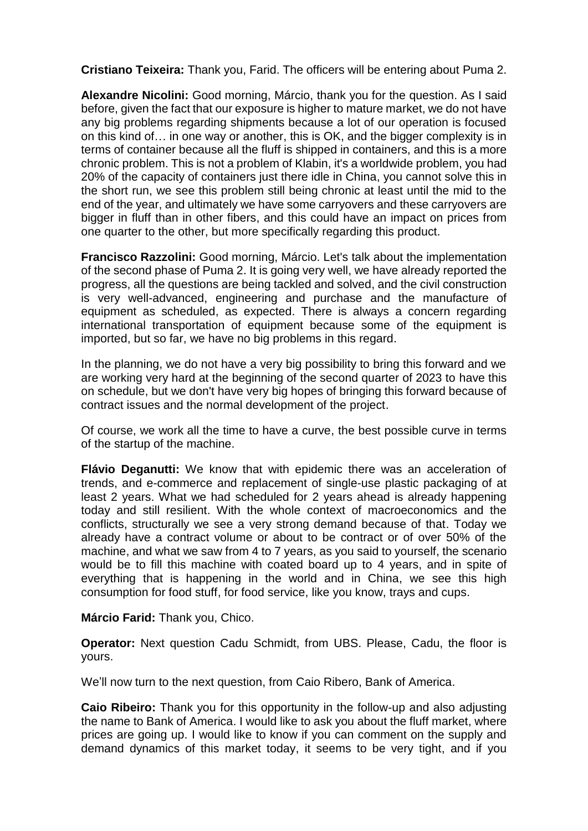**Cristiano Teixeira:** Thank you, Farid. The officers will be entering about Puma 2.

**Alexandre Nicolini:** Good morning, Márcio, thank you for the question. As I said before, given the fact that our exposure is higher to mature market, we do not have any big problems regarding shipments because a lot of our operation is focused on this kind of… in one way or another, this is OK, and the bigger complexity is in terms of container because all the fluff is shipped in containers, and this is a more chronic problem. This is not a problem of Klabin, it's a worldwide problem, you had 20% of the capacity of containers just there idle in China, you cannot solve this in the short run, we see this problem still being chronic at least until the mid to the end of the year, and ultimately we have some carryovers and these carryovers are bigger in fluff than in other fibers, and this could have an impact on prices from one quarter to the other, but more specifically regarding this product.

**Francisco Razzolini:** Good morning, Márcio. Let's talk about the implementation of the second phase of Puma 2. It is going very well, we have already reported the progress, all the questions are being tackled and solved, and the civil construction is very well-advanced, engineering and purchase and the manufacture of equipment as scheduled, as expected. There is always a concern regarding international transportation of equipment because some of the equipment is imported, but so far, we have no big problems in this regard.

In the planning, we do not have a very big possibility to bring this forward and we are working very hard at the beginning of the second quarter of 2023 to have this on schedule, but we don't have very big hopes of bringing this forward because of contract issues and the normal development of the project.

Of course, we work all the time to have a curve, the best possible curve in terms of the startup of the machine.

**Flávio Deganutti:** We know that with epidemic there was an acceleration of trends, and e-commerce and replacement of single-use plastic packaging of at least 2 years. What we had scheduled for 2 years ahead is already happening today and still resilient. With the whole context of macroeconomics and the conflicts, structurally we see a very strong demand because of that. Today we already have a contract volume or about to be contract or of over 50% of the machine, and what we saw from 4 to 7 years, as you said to yourself, the scenario would be to fill this machine with coated board up to 4 years, and in spite of everything that is happening in the world and in China, we see this high consumption for food stuff, for food service, like you know, trays and cups.

**Márcio Farid:** Thank you, Chico.

**Operator:** Next question Cadu Schmidt, from UBS. Please, Cadu, the floor is yours.

We'll now turn to the next question, from Caio Ribero, Bank of America.

**Caio Ribeiro:** Thank you for this opportunity in the follow-up and also adjusting the name to Bank of America. I would like to ask you about the fluff market, where prices are going up. I would like to know if you can comment on the supply and demand dynamics of this market today, it seems to be very tight, and if you